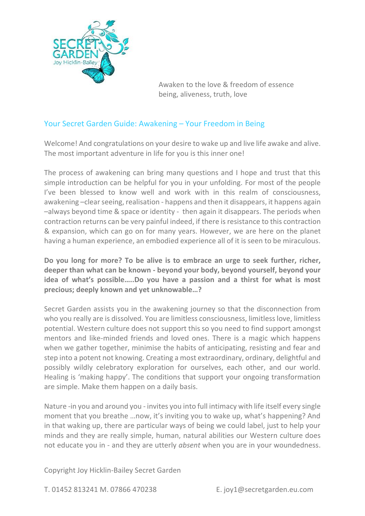

# Your Secret Garden Guide: Awakening – Your Freedom in Being

Welcome! And congratulations on your desire to wake up and live life awake and alive. The most important adventure in life for you is this inner one!

The process of awakening can bring many questions and I hope and trust that this simple introduction can be helpful for you in your unfolding. For most of the people I've been blessed to know well and work with in this realm of consciousness, awakening –clear seeing, realisation - happens and then it disappears, it happens again –always beyond time & space or identity - then again it disappears. The periods when contraction returns can be very painful indeed, if there is resistance to this contraction & expansion, which can go on for many years. However, we are here on the planet having a human experience, an embodied experience all of it is seen to be miraculous.

**Do you long for more? To be alive is to embrace an urge to seek further, richer, deeper than what can be known - beyond your body, beyond yourself, beyond your idea of what's possible…..Do you have a passion and a thirst for what is most precious; deeply known and yet unknowable…?** 

Secret Garden assists you in the awakening journey so that the disconnection from who you really are is dissolved. You are limitless consciousness, limitless love, limitless potential. Western culture does not support this so you need to find support amongst mentors and like-minded friends and loved ones. There is a magic which happens when we gather together, minimise the habits of anticipating, resisting and fear and step into a potent not knowing. Creating a most extraordinary, ordinary, delightful and possibly wildly celebratory exploration for ourselves, each other, and our world. Healing is 'making happy'. The conditions that support your ongoing transformation are simple. Make them happen on a daily basis.

Nature -in you and around you - invites you into full intimacy with life itself every single moment that you breathe …now, it's inviting you to wake up, what's happening? And in that waking up, there are particular ways of being we could label, just to help your minds and they are really simple, human, natural abilities our Western culture does not educate you in - and they are utterly *absent* when you are in your woundedness.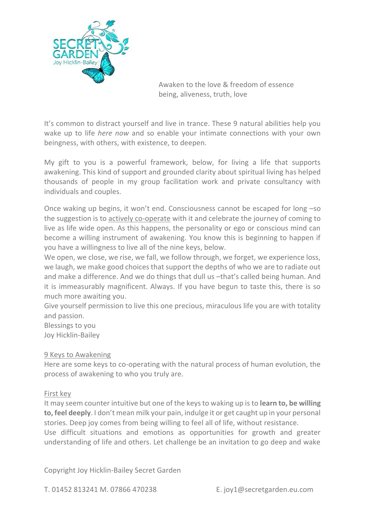

It's common to distract yourself and live in trance. These 9 natural abilities help you wake up to life *here now* and so enable your intimate connections with your own beingness, with others, with existence, to deepen.

My gift to you is a powerful framework, below, for living a life that supports awakening. This kind of support and grounded clarity about spiritual living has helped thousands of people in my group facilitation work and private consultancy with individuals and couples.

Once waking up begins, it won't end. Consciousness cannot be escaped for long –so the suggestion is to actively co-operate with it and celebrate the journey of coming to live as life wide open. As this happens, the personality or ego or conscious mind can become a willing instrument of awakening. You know this is beginning to happen if you have a willingness to live all of the nine keys, below.

We open, we close, we rise, we fall, we follow through, we forget, we experience loss, we laugh, we make good choices that support the depths of who we are to radiate out and make a difference. And we do things that dull us –that's called being human. And it is immeasurably magnificent. Always. If you have begun to taste this, there is so much more awaiting you.

Give yourself permission to live this one precious, miraculous life you are with totality and passion.

Blessings to you Joy Hicklin-Bailey

# 9 Keys to Awakening

Here are some keys to co-operating with the natural process of human evolution, the process of awakening to who you truly are.

### First key

It may seem counter intuitive but one of the keys to waking up is to **learn to, be willing to, feel deeply**. I don't mean milk your pain, indulge it or get caught up in your personal stories. Deep joy comes from being willing to feel all of life, without resistance.

Use difficult situations and emotions as opportunities for growth and greater understanding of life and others. Let challenge be an invitation to go deep and wake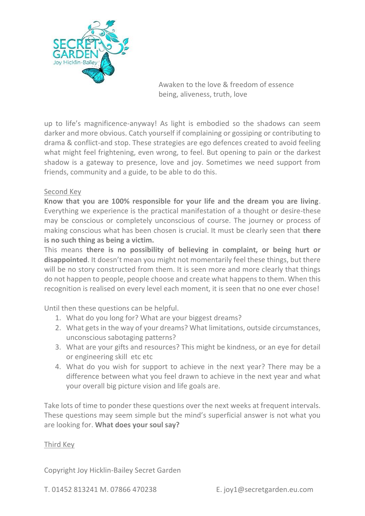

up to life's magnificence-anyway! As light is embodied so the shadows can seem darker and more obvious. Catch yourself if complaining or gossiping or contributing to drama & conflict-and stop. These strategies are ego defences created to avoid feeling what might feel frightening, even wrong, to feel. But opening to pain or the darkest shadow is a gateway to presence, love and joy. Sometimes we need support from friends, community and a guide, to be able to do this.

# Second Key

**Know that you are 100% responsible for your life and the dream you are living**. Everything we experience is the practical manifestation of a thought or desire-these may be conscious or completely unconscious of course. The journey or process of making conscious what has been chosen is crucial. It must be clearly seen that **there is no such thing as being a victim.**

This means **there is no possibility of believing in complaint, or being hurt or disappointed**. It doesn't mean you might not momentarily feel these things, but there will be no story constructed from them. It is seen more and more clearly that things do not happen to people, people choose and create what happens to them. When this recognition is realised on every level each moment, it is seen that no one ever chose!

Until then these questions can be helpful.

- 1. What do you long for? What are your biggest dreams?
- 2. What gets in the way of your dreams? What limitations, outside circumstances, unconscious sabotaging patterns?
- 3. What are your gifts and resources? This might be kindness, or an eye for detail or engineering skill etc etc
- 4. What do you wish for support to achieve in the next year? There may be a difference between what you feel drawn to achieve in the next year and what your overall big picture vision and life goals are.

Take lots of time to ponder these questions over the next weeks at frequent intervals. These questions may seem simple but the mind's superficial answer is not what you are looking for. **What does your soul say?**

### Third Key

Copyright Joy Hicklin-Bailey Secret Garden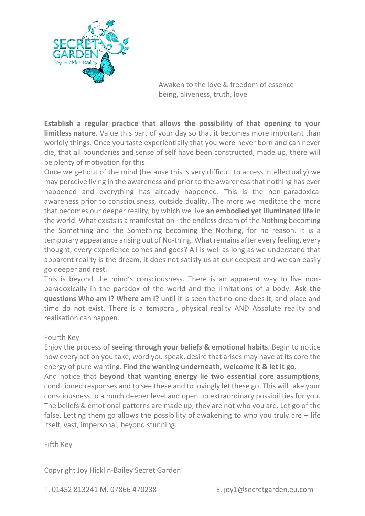

**Establish a regular practice that allows the possibility of that opening to your limitless nature**. Value this part of your day so that it becomes more important than worldly things. Once you taste experientially that you were never born and can never die, that all boundaries and sense of self have been constructed, made up, there will be plenty of motivation for this.

Once we get out of the mind (because this is very difficult to access intellectually) we may perceive living in the awareness and prior to the awareness that nothing has ever happened and everything has already happened. This is the non-paradoxical awareness prior to consciousness, outside duality. The more we meditate the more that becomes our deeper reality, by which we live **an embodied yet illuminated life** in the world. What exists is a manifestation– the endless dream of the Nothing becoming the Something and the Something becoming the Nothing, for no reason. It is a temporary appearance arising out of No-thing. What remains after every feeling, every thought, every experience comes and goes? All is well as long as we understand that apparent reality is the dream, it does not satisfy us at our deepest and we can easily go deeper and rest.

This is beyond the mind's consciousness. There is an apparent way to live nonparadoxically in the paradox of the world and the limitations of a body. **Ask the questions Who am I? Where am I?** until it is seen that no-one does it, and place and time do not exist. There is a temporal, physical reality AND Absolute reality and realisation can happen.

### Fourth Key

Enjoy the process of **seeing through your beliefs & emotional habits**. Begin to notice how every action you take, word you speak, desire that arises may have at its core the energy of pure wanting. **Find the wanting underneath, welcome it & let it go.** 

And notice that **beyond that wanting energy lie two essential core assumptions**, conditioned responses and to see these and to lovingly let these go. This will take your consciousness to a much deeper level and open up extraordinary possibilities for you. The beliefs & emotional patterns are made up, they are not who you are. Let go of the false, Letting them go allows the possibility of awakening to who you truly are  $-$  life itself, vast, impersonal, beyond stunning.

#### Fifth Key

Copyright Joy Hicklin-Bailey Secret Garden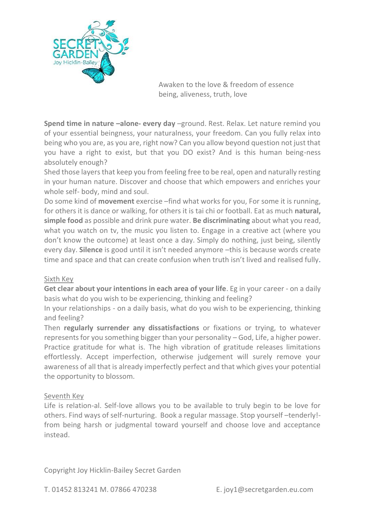

**Spend time in nature –alone- every day** –ground. Rest. Relax. Let nature remind you of your essential beingness, your naturalness, your freedom. Can you fully relax into being who you are, as you are, right now? Can you allow beyond question not just that you have a right to exist, but that you DO exist? And is this human being-ness absolutely enough?

Shed those layers that keep you from feeling free to be real, open and naturally resting in your human nature. Discover and choose that which empowers and enriches your whole self- body, mind and soul.

Do some kind of **movement** exercise –find what works for you, For some it is running, for others it is dance or walking, for others it is tai chi or football. Eat as much **natural, simple food** as possible and drink pure water. **Be discriminating** about what you read, what you watch on tv, the music you listen to. Engage in a creative act (where you don't know the outcome) at least once a day. Simply do nothing, just being, silently every day. **Silence** is good until it isn't needed anymore –this is because words create time and space and that can create confusion when truth isn't lived and realised fully.

### Sixth Key

**Get clear about your intentions in each area of your life**. Eg in your career - on a daily basis what do you wish to be experiencing, thinking and feeling?

In your relationships - on a daily basis, what do you wish to be experiencing, thinking and feeling?

Then **regularly surrender any dissatisfactions** or fixations or trying, to whatever represents for you something bigger than your personality – God, Life, a higher power. Practice gratitude for what is. The high vibration of gratitude releases limitations effortlessly. Accept imperfection, otherwise judgement will surely remove your awareness of all that is already imperfectly perfect and that which gives your potential the opportunity to blossom.

### Seventh Key

Life is relation-al. Self-love allows you to be available to truly begin to be love for others. Find ways of self-nurturing. Book a regular massage. Stop yourself –tenderly! from being harsh or judgmental toward yourself and choose love and acceptance instead.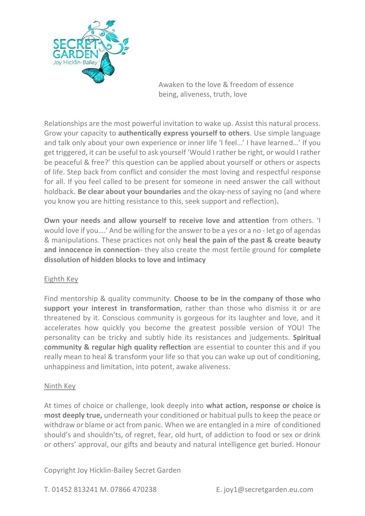

Relationships are the most powerful invitation to wake up. Assist this natural process. Grow your capacity to **authentically express yourself to others**. Use simple language and talk only about your own experience or inner life 'I feel…' I have learned…' If you get triggered, it can be useful to ask yourself 'Would I rather be right, or would I rather be peaceful & free?' this question can be applied about yourself or others or aspects of life. Step back from conflict and consider the most loving and respectful response for all. If you feel called to be present for someone in need answer the call without holdback. **Be clear about your boundaries** and the okay-ness of saying no (and where you know you are hitting resistance to this, seek support and reflection)**.** 

**Own your needs and allow yourself to receive love and attention** from others. 'I would love if you….' And be willing for the answer to be a yes or a no - let go of agendas & manipulations. These practices not only **heal the pain of the past & create beauty and innocence in connection**- they also create the most fertile ground for **complete dissolution of hidden blocks to love and intimacy**

# Eighth Key

Find mentorship & quality community. **Choose to be in the company of those who support your interest in transformation**, rather than those who dismiss it or are threatened by it. Conscious community is gorgeous for its laughter and love, and it accelerates how quickly you become the greatest possible version of YOU! The personality can be tricky and subtly hide its resistances and judgements. **Spiritual community & regular high quality reflection** are essential to counter this and if you really mean to heal & transform your life so that you can wake up out of conditioning, unhappiness and limitation, into potent, awake aliveness.

### Ninth Key

At times of choice or challenge, look deeply into **what action, response or choice is most deeply true,** underneath your conditioned or habitual pulls to keep the peace or withdraw or blame or act from panic. When we are entangled in a mire of conditioned should's and shouldn'ts, of regret, fear, old hurt, of addiction to food or sex or drink or others' approval, our gifts and beauty and natural intelligence get buried. Honour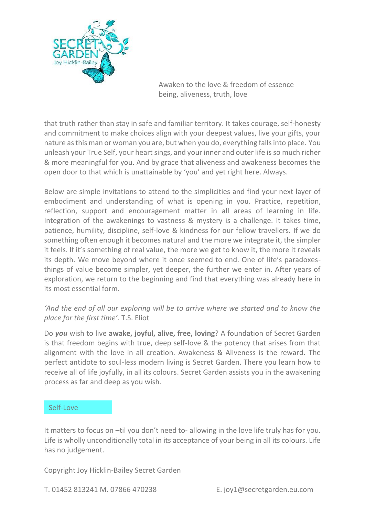

that truth rather than stay in safe and familiar territory. It takes courage, self-honesty and commitment to make choices align with your deepest values, live your gifts, your nature as this man or woman you are, but when you do, everything falls into place. You unleash your True Self, your heart sings, and your inner and outer life is so much richer & more meaningful for you. And by grace that aliveness and awakeness becomes the open door to that which is unattainable by 'you' and yet right here. Always.

Below are simple invitations to attend to the simplicities and find your next layer of embodiment and understanding of what is opening in you. Practice, repetition, reflection, support and encouragement matter in all areas of learning in life. Integration of the awakenings to vastness & mystery is a challenge. It takes time, patience, humility, discipline, self-love & kindness for our fellow travellers. If we do something often enough it becomes natural and the more we integrate it, the simpler it feels. If it's something of real value, the more we get to know it, the more it reveals its depth. We move beyond where it once seemed to end. One of life's paradoxesthings of value become simpler, yet deeper, the further we enter in. After years of exploration, we return to the beginning and find that everything was already here in its most essential form.

# *'And the end of all our exploring will be to arrive where we started and to know the place for the first time'*. T.S. Eliot

Do *you* wish to live **awake, joyful, alive, free, loving**? A foundation of Secret Garden is that freedom begins with true, deep self-love & the potency that arises from that alignment with the love in all creation. Awakeness & Aliveness is the reward. The perfect antidote to soul-less modern living is Secret Garden. There you learn how to receive all of life joyfully, in all its colours. Secret Garden assists you in the awakening process as far and deep as you wish.

### Self-Love

It matters to focus on –til you don't need to- allowing in the love life truly has for you. Life is wholly unconditionally total in its acceptance of your being in all its colours. Life has no judgement.

Copyright Joy Hicklin-Bailey Secret Garden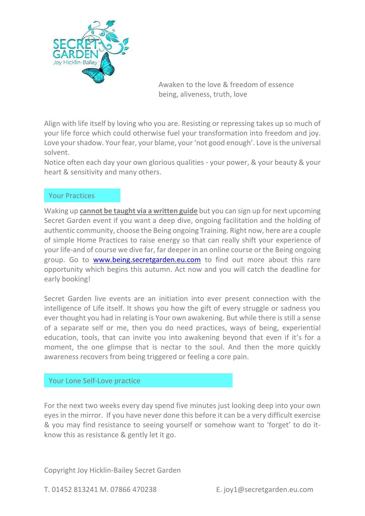

Align with life itself by loving who you are. Resisting or repressing takes up so much of your life force which could otherwise fuel your transformation into freedom and joy. Love your shadow. Your fear, your blame, your 'not good enough'. Love is the universal solvent.

Notice often each day your own glorious qualities - your power, & your beauty & your heart & sensitivity and many others.

# Your Practices

Waking up **cannot be taught via a written guide** but you can sign up for next upcoming Secret Garden event if you want a deep dive, ongoing facilitation and the holding of authentic community, choose the Being ongoing Training. Right now, here are a couple of simple Home Practices to raise energy so that can really shift your experience of your life-and of course we dive far, far deeper in an online course or the Being ongoing group. Go to [www.being.secretgarden.eu.com](http://www.being.secretgarden.eu.com/) to find out more about this rare opportunity which begins this autumn. Act now and you will catch the deadline for early booking!

Secret Garden live events are an initiation into ever present connection with the intelligence of Life itself. It shows you how the gift of every struggle or sadness you ever thought you had in relating is Your own awakening. But while there is still a sense of a separate self or me, then you do need practices, ways of being, experiential education, tools, that can invite you into awakening beyond that even if it's for a moment, the one glimpse that is nectar to the soul. And then the more quickly awareness recovers from being triggered or feeling a core pain.

### Your Lone Self-Love practice

For the next two weeks every day spend five minutes just looking deep into your own eyes in the mirror. If you have never done this before it can be a very difficult exercise & you may find resistance to seeing yourself or somehow want to 'forget' to do itknow this as resistance & gently let it go.

Copyright Joy Hicklin-Bailey Secret Garden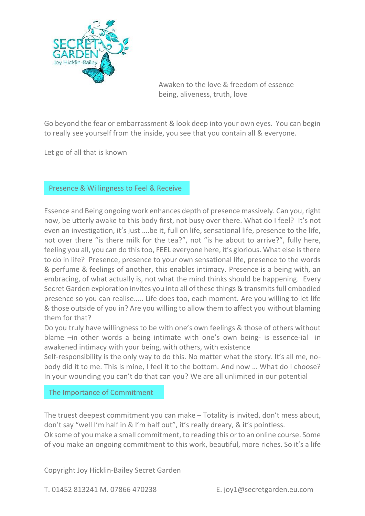

Go beyond the fear or embarrassment & look deep into your own eyes. You can begin to really see yourself from the inside, you see that you contain all & everyone.

Let go of all that is known

Presence & Willingness to Feel & Receive

Essence and Being ongoing work enhances depth of presence massively. Can you, right now, be utterly awake to this body first, not busy over there. What do I feel? It's not even an investigation, it's just ….be it, full on life, sensational life, presence to the life, not over there "is there milk for the tea?", not "is he about to arrive?", fully here, feeling you all, you can do this too, FEEL everyone here, it's glorious. What else is there to do in life? Presence, presence to your own sensational life, presence to the words & perfume & feelings of another, this enables intimacy. Presence is a being with, an embracing, of what actually is, not what the mind thinks should be happening. Every Secret Garden exploration invites you into all of these things & transmits full embodied presence so you can realise….. Life does too, each moment. Are you willing to let life & those outside of you in? Are you willing to allow them to affect you without blaming them for that?

Do you truly have willingness to be with one's own feelings & those of others without blame –in other words a being intimate with one's own being- is essence-ial in awakened intimacy with your being, with others, with existence

Self-responsibility is the only way to do this. No matter what the story. It's all me, nobody did it to me. This is mine, I feel it to the bottom. And now … What do I choose? In your wounding you can't do that can you? We are all unlimited in our potential

The Importance of Commitment

The truest deepest commitment you can make – Totality is invited, don't mess about, don't say "well I'm half in & I'm half out", it's really dreary, & it's pointless. Ok some of you make a small commitment, to reading this or to an online course. Some of you make an ongoing commitment to this work, beautiful, more riches. So it's a life

Copyright Joy Hicklin-Bailey Secret Garden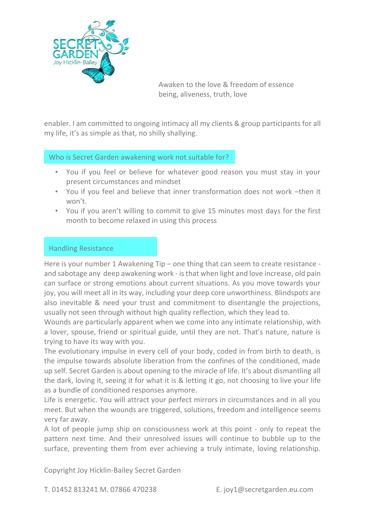

enabler. I am committed to ongoing intimacy all my clients & group participants for all my life, it's as simple as that, no shilly shallying.

Who is Secret Garden awakening work not suitable for?

- You if you feel or believe for whatever good reason you must stay in your present circumstances and mindset
- You if you feel and believe that inner transformation does not work –then it won't.
- You if you aren't willing to commit to give 15 minutes most days for the first month to become relaxed in using this process

# Handling Resistance

Here is your number 1 Awakening Tip – one thing that can seem to create resistance and sabotage any deep awakening work - is that when light and love increase, old pain can surface or strong emotions about current situations. As you move towards your joy, you will meet all in its way, including your deep core unworthiness. Blindspots are also inevitable & need your trust and commitment to disentangle the projections, usually not seen through without high quality reflection, which they lead to.

Wounds are particularly apparent when we come into any intimate relationship, with a lover, spouse, friend or spiritual guide, until they are not. That's nature, nature is trying to have its way with you.

The evolutionary impulse in every cell of your body, coded in from birth to death, is the impulse towards absolute liberation from the confines of the conditioned, made up self. Secret Garden is about opening to the miracle of life. It's about dismantling all the dark, loving it, seeing it for what it is & letting it go, not choosing to live your life as a bundle of conditioned responses anymore.

Life is energetic. You will attract your perfect mirrors in circumstances and in all you meet. But when the wounds are triggered, solutions, freedom and intelligence seems very far away.

A lot of people jump ship on consciousness work at this point - only to repeat the pattern next time. And their unresolved issues will continue to bubble up to the surface, preventing them from ever achieving a truly intimate, loving relationship.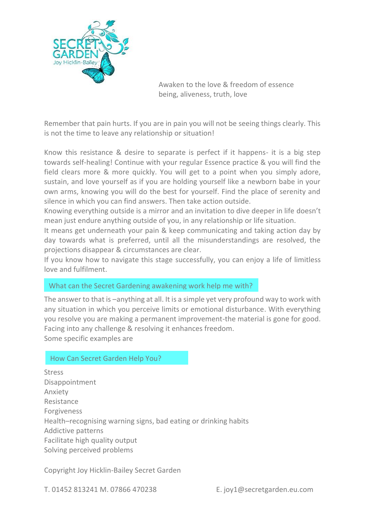

Remember that pain hurts. If you are in pain you will not be seeing things clearly. This is not the time to leave any relationship or situation!

Know this resistance & desire to separate is perfect if it happens- it is a big step towards self-healing! Continue with your regular Essence practice & you will find the field clears more & more quickly. You will get to a point when you simply adore, sustain, and love yourself as if you are holding yourself like a newborn babe in your own arms, knowing you will do the best for yourself. Find the place of serenity and silence in which you can find answers. Then take action outside.

Knowing everything outside is a mirror and an invitation to dive deeper in life doesn't mean just endure anything outside of you, in any relationship or life situation.

It means get underneath your pain & keep communicating and taking action day by day towards what is preferred, until all the misunderstandings are resolved, the projections disappear & circumstances are clear.

If you know how to navigate this stage successfully, you can enjoy a life of limitless love and fulfilment.

### What can the Secret Gardening awakening work help me with?

The answer to that is –anything at all. It is a simple yet very profound way to work with any situation in which you perceive limits or emotional disturbance. With everything you resolve you are making a permanent improvement-the material is gone for good. Facing into any challenge & resolving it enhances freedom. Some specific examples are

### How Can Secret Garden Help You?

Stress Disappointment Anxiety Resistance Forgiveness Health–recognising warning signs, bad eating or drinking habits Addictive patterns Facilitate high quality output Solving perceived problems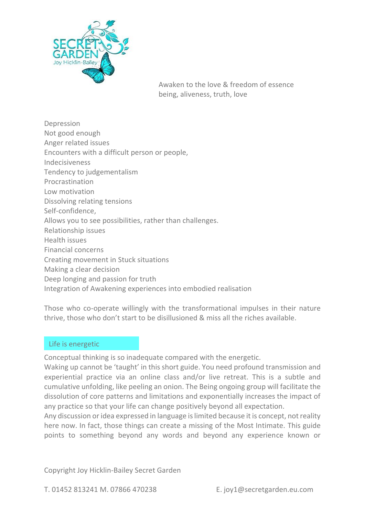

Depression Not good enough Anger related issues Encounters with a difficult person or people, Indecisiveness Tendency to judgementalism Procrastination Low motivation Dissolving relating tensions Self-confidence, Allows you to see possibilities, rather than challenges. Relationship issues Health issues Financial concerns Creating movement in Stuck situations Making a clear decision Deep longing and passion for truth Integration of Awakening experiences into embodied realisation

Those who co-operate willingly with the transformational impulses in their nature thrive, those who don't start to be disillusioned & miss all the riches available.

### Life is energetic

Conceptual thinking is so inadequate compared with the energetic.

Waking up cannot be 'taught' in this short guide. You need profound transmission and experiential practice via an online class and/or live retreat. This is a subtle and cumulative unfolding, like peeling an onion. The Being ongoing group will facilitate the dissolution of core patterns and limitations and exponentially increases the impact of any practice so that your life can change positively beyond all expectation.

Any discussion or idea expressed in language is limited because it is concept, not reality here now. In fact, those things can create a missing of the Most Intimate. This guide points to something beyond any words and beyond any experience known or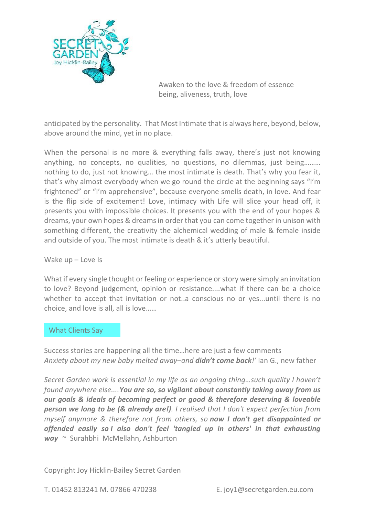

anticipated by the personality. That Most Intimate that is always here, beyond, below, above around the mind, yet in no place.

When the personal is no more & everything falls away, there's just not knowing anything, no concepts, no qualities, no questions, no dilemmas, just being……… nothing to do, just not knowing… the most intimate is death. That's why you fear it, that's why almost everybody when we go round the circle at the beginning says "I'm frightened" or "I'm apprehensive", because everyone smells death, in love. And fear is the flip side of excitement! Love, intimacy with Life will slice your head off, it presents you with impossible choices. It presents you with the end of your hopes & dreams, your own hopes & dreams in order that you can come together in unison with something different, the creativity the alchemical wedding of male & female inside and outside of you. The most intimate is death & it's utterly beautiful.

Wake up – Love Is

What if every single thought or feeling or experience or story were simply an invitation to love? Beyond judgement, opinion or resistance....what if there can be a choice whether to accept that invitation or not..a conscious no or yes...until there is no choice, and love is all, all is love……

### What Clients Say

Success stories are happening all the time…here are just a few comments *Anxiety about my new baby melted away–and didn't come back!'* Ian G., new father

*Secret Garden work is essential in my life as an ongoing thing…such quality I haven't found anywhere else....You are so, so vigilant about constantly taking away from us our goals & ideals of becoming perfect or good & therefore deserving & loveable person we long to be (& already are!). I realised that I don't expect perfection from myself anymore & therefore not from others, so now I don't get disappointed or offended easily so I also don't feel 'tangled up in others' in that exhausting way* ~ Surahbhi McMellahn, Ashburton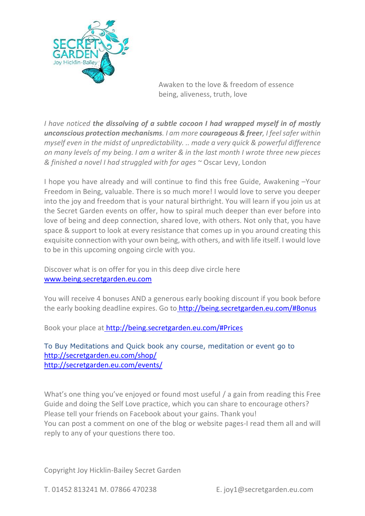

*I have noticed the dissolving of a subtle cocoon I had wrapped myself in of mostly unconscious protection mechanisms. I am more courageous & freer, I feel safer within myself even in the midst of unpredictability. .. made a very quick & powerful difference on many levels of my being. I am a writer & in the last month I wrote three new pieces & finished a novel I had struggled with for ages ~* Oscar Levy, London

I hope you have already and will continue to find this free Guide, Awakening –Your Freedom in Being, valuable. There is so much more! I would love to serve you deeper into the joy and freedom that is your natural birthright. You will learn if you join us at the Secret Garden events on offer, how to spiral much deeper than ever before into love of being and deep connection, shared love, with others. Not only that, you have space & support to look at every resistance that comes up in you around creating this exquisite connection with your own being, with others, and with life itself. I would love to be in this upcoming ongoing circle with you.

Discover what is on offer for you in this deep dive circle here [www.being.secretgarden.eu.com](http://www.being.secretgarden.eu.com/)

You will receive 4 bonuses AND a generous early booking discount if you book before the early booking deadline expires. Go to <http://being.secretgarden.eu.com/#Bonus>

Book your place at <http://being.secretgarden.eu.com/#Prices>

To Buy Meditations and Quick book any course, meditation or event go to <http://secretgarden.eu.com/shop/> <http://secretgarden.eu.com/events/>

What's one thing you've enjoyed or found most useful / a gain from reading this Free Guide and doing the Self Love practice, which you can share to encourage others? Please tell your friends on Facebook about your gains. Thank you! You can post a comment on one of the blog or website pages-I read them all and will reply to any of your questions there too.

Copyright Joy Hicklin-Bailey Secret Garden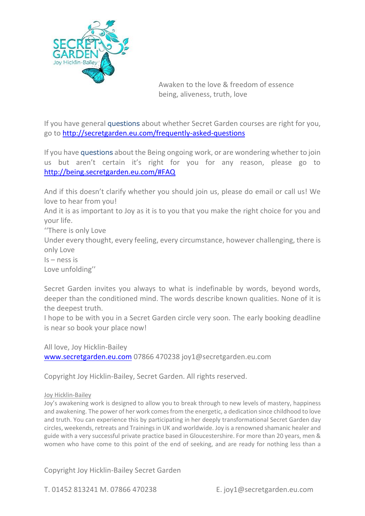

If you have general questions about whether Secret Garden courses are right for you, go to<http://secretgarden.eu.com/frequently-asked-questions>

If you have questions about the Being ongoing work, or are wondering whether to join us but aren't certain it's right for you for any reason, please go to <http://being.secretgarden.eu.com/#FAQ>

And if this doesn't clarify whether you should join us, please do email or call us! We love to hear from you!

And it is as important to Joy as it is to you that you make the right choice for you and your life.

''There is only Love

Under every thought, every feeling, every circumstance, however challenging, there is only Love

Is – ness is

Love unfolding''

Secret Garden invites you always to what is indefinable by words, beyond words, deeper than the conditioned mind. The words describe known qualities. None of it is the deepest truth.

I hope to be with you in a Secret Garden circle very soon. The early booking deadline is near so book your place now!

All love, Joy Hicklin-Bailey [www.secretgarden.eu.com](http://www.secretgarden.eu.com/) 07866 470238 joy1@secretgarden.eu.com

Copyright Joy Hicklin-Bailey, Secret Garden. All rights reserved.

#### Joy Hicklin-Bailey

Joy's awakening work is designed to allow you to break through to new levels of mastery, happiness and awakening. The power of her work comes from the energetic, a dedication since childhood to love and truth. You can experience this by participating in her deeply transformational Secret Garden day circles, weekends, retreats and Trainings in UK and worldwide. Joy is a renowned shamanic healer and guide with a very successful private practice based in Gloucestershire. For more than 20 years, men & women who have come to this point of the end of seeking, and are ready for nothing less than a